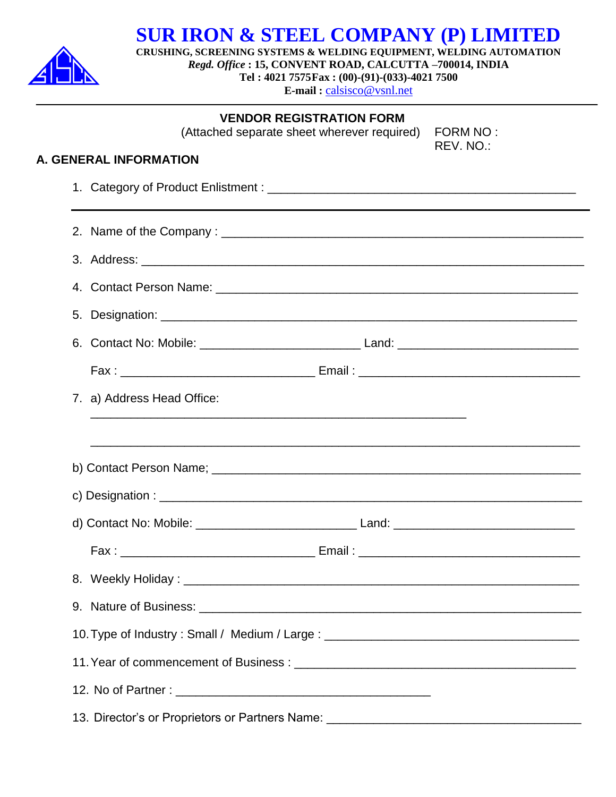

**SUR IRON & STEEL COMPANY (P) LIMITED**

**CRUSHING, SCREENING SYSTEMS & WELDING EQUIPMENT, WELDING AUTOMATION**

*Regd. Office* **: 15, CONVENT ROAD, CALCUTTA –700014, INDIA Tel : 4021 7575Fax : (00)-(91)-(033)-4021 7500**

**E-mail :** [calsisco@vsnl.net](mailto:calsisco@vsnl.net)

**VENDOR REGISTRATION FORM**

(Attached separate sheet wherever required) FORM NO :

REV. NO.:

### **A. GENERAL INFORMATION**

|                                                                                   | 7. a) Address Head Office:                                                                                                                                               |  |  |  |
|-----------------------------------------------------------------------------------|--------------------------------------------------------------------------------------------------------------------------------------------------------------------------|--|--|--|
|                                                                                   |                                                                                                                                                                          |  |  |  |
|                                                                                   |                                                                                                                                                                          |  |  |  |
|                                                                                   |                                                                                                                                                                          |  |  |  |
|                                                                                   |                                                                                                                                                                          |  |  |  |
|                                                                                   |                                                                                                                                                                          |  |  |  |
|                                                                                   |                                                                                                                                                                          |  |  |  |
|                                                                                   |                                                                                                                                                                          |  |  |  |
| 10. Type of Industry: Small / Medium / Large: \\connection_______________________ |                                                                                                                                                                          |  |  |  |
|                                                                                   |                                                                                                                                                                          |  |  |  |
|                                                                                   |                                                                                                                                                                          |  |  |  |
|                                                                                   | 13. Director's or Proprietors or Partners Name:<br><u> 1989 - Johann Harry Harry Harry Harry Harry Harry Harry Harry Harry Harry Harry Harry Harry Harry Harry Harry</u> |  |  |  |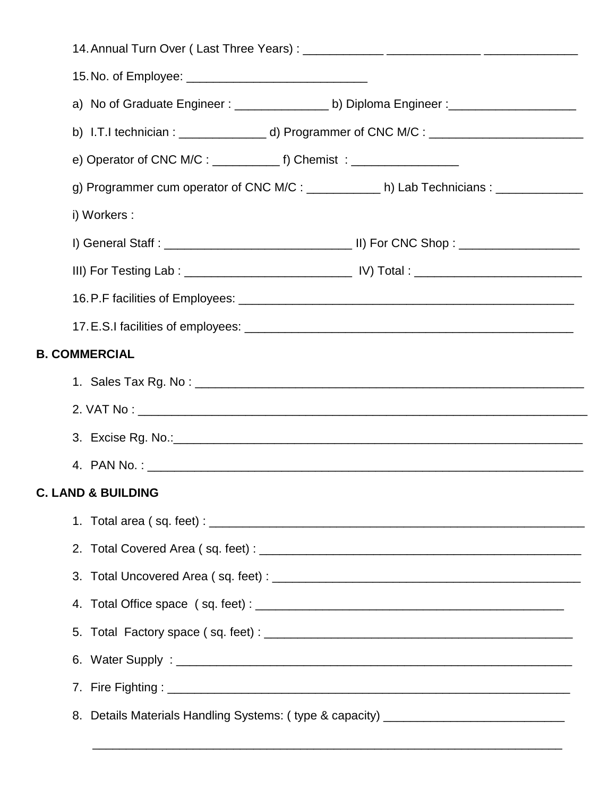|    | a) No of Graduate Engineer: ____________________b) Diploma Engineer: _______________________________ |  |  |  |  |
|----|------------------------------------------------------------------------------------------------------|--|--|--|--|
|    |                                                                                                      |  |  |  |  |
|    |                                                                                                      |  |  |  |  |
|    | g) Programmer cum operator of CNC M/C : ___________ h) Lab Technicians : _____________               |  |  |  |  |
|    | i) Workers :                                                                                         |  |  |  |  |
|    |                                                                                                      |  |  |  |  |
|    |                                                                                                      |  |  |  |  |
|    |                                                                                                      |  |  |  |  |
|    |                                                                                                      |  |  |  |  |
|    | <b>COMMERCIAL</b>                                                                                    |  |  |  |  |
|    |                                                                                                      |  |  |  |  |
|    |                                                                                                      |  |  |  |  |
|    |                                                                                                      |  |  |  |  |
|    |                                                                                                      |  |  |  |  |
|    | <b>LAND &amp; BUILDING</b>                                                                           |  |  |  |  |
|    |                                                                                                      |  |  |  |  |
|    |                                                                                                      |  |  |  |  |
| 3. |                                                                                                      |  |  |  |  |
|    |                                                                                                      |  |  |  |  |
|    |                                                                                                      |  |  |  |  |
|    |                                                                                                      |  |  |  |  |
|    |                                                                                                      |  |  |  |  |
|    | 8. Details Materials Handling Systems: (type & capacity) _______________________                     |  |  |  |  |
|    |                                                                                                      |  |  |  |  |

**B.** 

**C. LAND & BUILDING**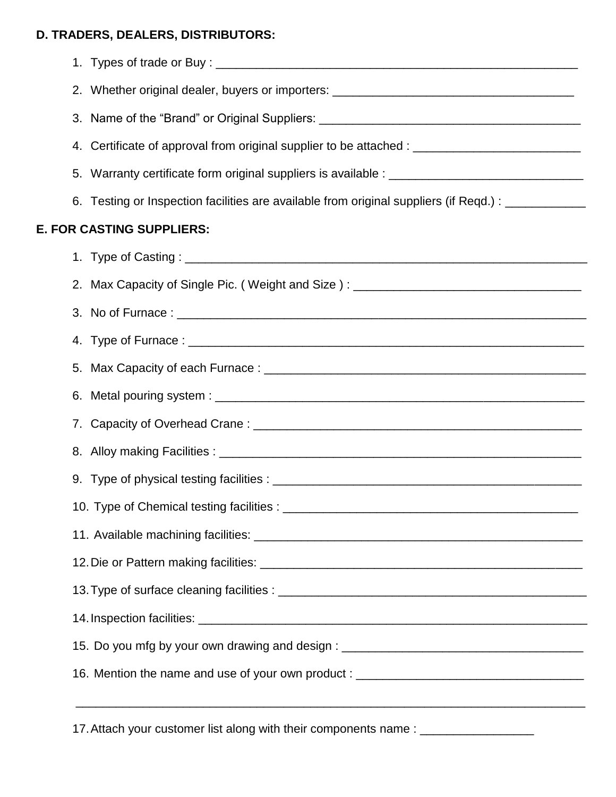# **D. TRADERS, DEALERS, DISTRIBUTORS:**

| 2. Whether original dealer, buyers or importers: _______________________________                    |
|-----------------------------------------------------------------------------------------------------|
| 3. Name of the "Brand" or Original Suppliers: __________________________________                    |
| 4. Certificate of approval from original supplier to be attached : ________________________________ |
|                                                                                                     |
| 6. Testing or Inspection facilities are available from original suppliers (if Reqd.) : ___________  |
| <b>E. FOR CASTING SUPPLIERS:</b>                                                                    |
|                                                                                                     |
| 2. Max Capacity of Single Pic. (Weight and Size): ______________________________                    |
|                                                                                                     |
|                                                                                                     |
|                                                                                                     |
|                                                                                                     |
|                                                                                                     |
|                                                                                                     |
|                                                                                                     |
|                                                                                                     |
|                                                                                                     |
|                                                                                                     |
|                                                                                                     |
|                                                                                                     |
| 15. Do you mfg by your own drawing and design : ________________________________                    |
| 16. Mention the name and use of your own product : _____________________________                    |
|                                                                                                     |
|                                                                                                     |

17. Attach your customer list along with their components name : \_\_\_\_\_\_\_\_\_\_\_\_\_\_\_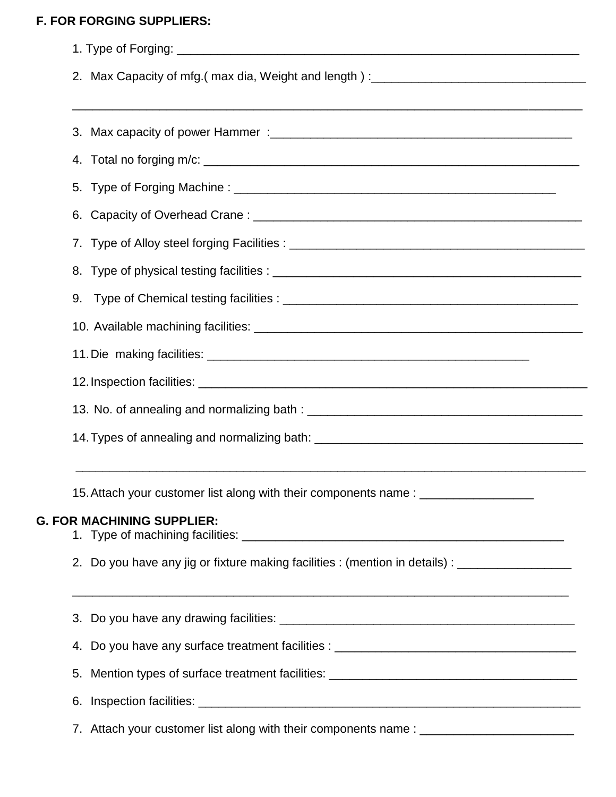## **F. FOR FORGING SUPPLIERS:**

|                                                                                   | 2. Max Capacity of mfg.(max dia, Weight and length):____________________________                    |  |  |  |  |
|-----------------------------------------------------------------------------------|-----------------------------------------------------------------------------------------------------|--|--|--|--|
|                                                                                   |                                                                                                     |  |  |  |  |
|                                                                                   |                                                                                                     |  |  |  |  |
|                                                                                   |                                                                                                     |  |  |  |  |
| 6.                                                                                |                                                                                                     |  |  |  |  |
|                                                                                   |                                                                                                     |  |  |  |  |
|                                                                                   |                                                                                                     |  |  |  |  |
| 9.                                                                                |                                                                                                     |  |  |  |  |
|                                                                                   |                                                                                                     |  |  |  |  |
|                                                                                   |                                                                                                     |  |  |  |  |
|                                                                                   |                                                                                                     |  |  |  |  |
|                                                                                   |                                                                                                     |  |  |  |  |
|                                                                                   | 14. Types of annealing and normalizing bath: ___________________________________                    |  |  |  |  |
|                                                                                   | 15. Attach your customer list along with their components name: ________________                    |  |  |  |  |
|                                                                                   | <b>G. FOR MACHINING SUPPLIER:</b>                                                                   |  |  |  |  |
|                                                                                   | 2. Do you have any jig or fixture making facilities : (mention in details) : ______________________ |  |  |  |  |
|                                                                                   | ,我们也不能在这里的时候,我们也不能在这里的时候,我们也不能在这里的时候,我们也不能会不能在这里的时候,我们也不能会不能会不能会不能会不能会不能会不能会不能会不                    |  |  |  |  |
|                                                                                   | 4. Do you have any surface treatment facilities : _______________________________                   |  |  |  |  |
| 5. Mention types of surface treatment facilities: _______________________________ |                                                                                                     |  |  |  |  |
|                                                                                   |                                                                                                     |  |  |  |  |
|                                                                                   | 7. Attach your customer list along with their components name : _______________________             |  |  |  |  |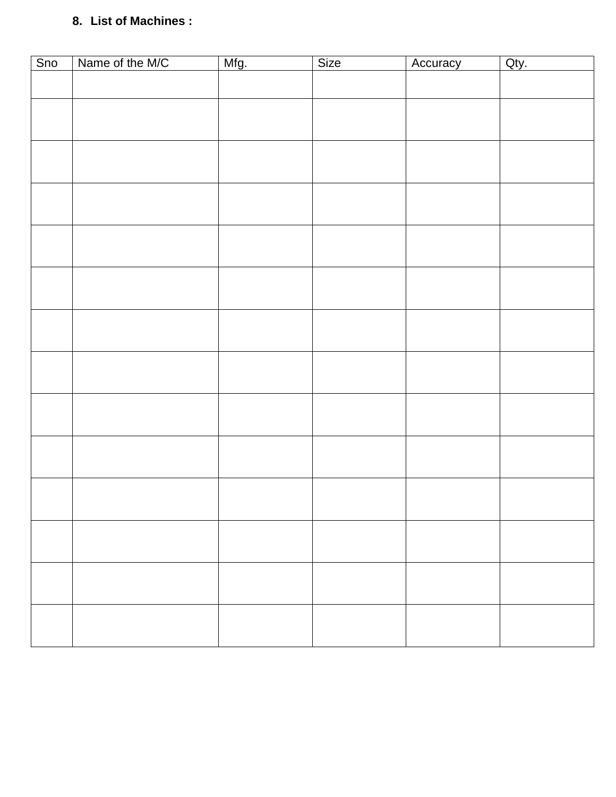# **8. List of Machines :**

| Sno | Name of the M/C | Mfg. | Size | Accuracy | Qty. |
|-----|-----------------|------|------|----------|------|
|     |                 |      |      |          |      |
|     |                 |      |      |          |      |
|     |                 |      |      |          |      |
|     |                 |      |      |          |      |
|     |                 |      |      |          |      |
|     |                 |      |      |          |      |
|     |                 |      |      |          |      |
|     |                 |      |      |          |      |
|     |                 |      |      |          |      |
|     |                 |      |      |          |      |
|     |                 |      |      |          |      |
|     |                 |      |      |          |      |
|     |                 |      |      |          |      |
|     |                 |      |      |          |      |
|     |                 |      |      |          |      |
|     |                 |      |      |          |      |
|     |                 |      |      |          |      |
|     |                 |      |      |          |      |
|     |                 |      |      |          |      |
|     |                 |      |      |          |      |
|     |                 |      |      |          |      |
|     |                 |      |      |          |      |
|     |                 |      |      |          |      |
|     |                 |      |      |          |      |
|     |                 |      |      |          |      |
|     |                 |      |      |          |      |
|     |                 |      |      |          |      |
|     |                 |      |      |          |      |
|     |                 |      |      |          |      |
|     |                 |      |      |          |      |
|     |                 |      |      |          |      |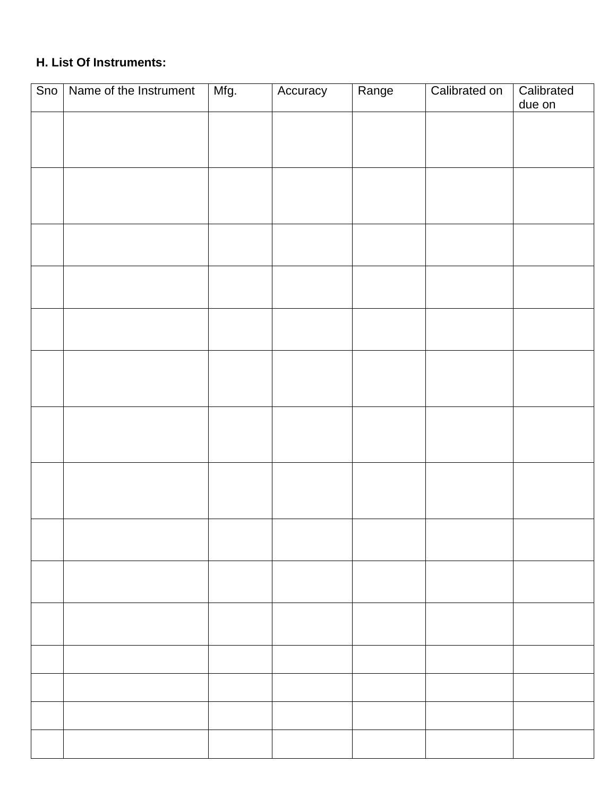# **H. List Of Instruments:**

| Sno | Name of the Instrument | Mfg. | Accuracy | Range | Calibrated on | Calibrated<br>due on |
|-----|------------------------|------|----------|-------|---------------|----------------------|
|     |                        |      |          |       |               |                      |
|     |                        |      |          |       |               |                      |
|     |                        |      |          |       |               |                      |
|     |                        |      |          |       |               |                      |
|     |                        |      |          |       |               |                      |
|     |                        |      |          |       |               |                      |
|     |                        |      |          |       |               |                      |
|     |                        |      |          |       |               |                      |
|     |                        |      |          |       |               |                      |
|     |                        |      |          |       |               |                      |
|     |                        |      |          |       |               |                      |
|     |                        |      |          |       |               |                      |
|     |                        |      |          |       |               |                      |
|     |                        |      |          |       |               |                      |
|     |                        |      |          |       |               |                      |
|     |                        |      |          |       |               |                      |
|     |                        |      |          |       |               |                      |
|     |                        |      |          |       |               |                      |
|     |                        |      |          |       |               |                      |
|     |                        |      |          |       |               |                      |
|     |                        |      |          |       |               |                      |
|     |                        |      |          |       |               |                      |
|     |                        |      |          |       |               |                      |